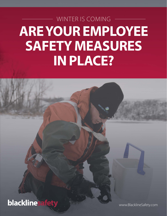# WINTER IS COMING **ARE YOUR EMPLOYEE SAFETY MEASURES IN PLACE?**

**blacklinesa** 

www.BlacklineSafety.com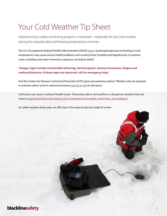# Your Cold Weather Tip Sheet

Implementing a safety monitoring program is important—especially for your lone workers during the unpredictable and freezing temperatures of winter.

The U.S. Occupational Safety & Health Administration (OSHA) [warns](https://www.osha.gov/as/opa/cold_weather_prep.html) "prolonged exposure to freezing or cold temperatures may cause serious health problems such as trench foot, frostbite and hypothermia. In extreme cases, including cold water immersion, exposure can lead to death."

#### **"Danger signs include uncontrolled shivering, slurred speech, clumsy movements, fatigue and confused behavior. If these signs are observed, call for emergency help."**

And the Centers for Disease Control and Prevention (CDC) gives precautionary advice: "Workers who are exposed to extreme cold or work in cold environments [may be at risk](http://www.cdc.gov/niosh/topics/coldstress/) of cold stress."

Cold stress can cause a variety of health issues. "Extremely cold or wet weather is a dangerous situation that can cause [occupational illness and injuries such as hypothermia, frostbite, trench foot, and chilblains](http://www.cdc.gov/niosh/docs/2010-115/pdfs/2010-115.pdf)."

As colder weather draws near, we offer tips in five areas to get you ready for winter.

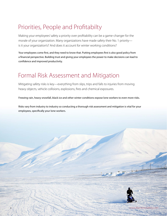### Priorities, People and Profitabilty

Making your employees' safety a priority over profitability can be a game-changer for the morale of your organization. Many organizations have made safety their No. 1 priority is it your organization's? And does it account for winter working conditions?

Your employees come first, and they need to know that. Putting employees first is also good policy from a financial perspective. Building trust and giving your employees the power to make decisions can lead to confidence and improved productivity.

#### Formal Risk Assessment and Mitigation

Mitigating safety risks is key—everything from slips, trips and falls to injuries from moving heavy objects, vehicle collisions, explosions, fires and chemical exposures.

Freezing rain, heavy snowfall, black ice and other winter conditions expose lone workers to even more risks.

Risks vary from industry to industry so conducting a thorough risk assessment and mitigation is vital for your employees, specifically your lone workers.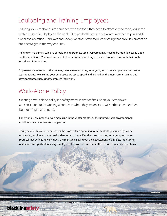#### Equipping and Training Employees

Ensuring your employees are equipped with the tools they need to effectively do their jobs in the winter is essential. Deploying the right PPE is par for the course but winter weather requires additional consideration. Cold, wet and snowy weather often requires clothing that provides protection but doesn't get in the way of duties.

Training on machinery, safe use of tools and appropriate use of resources may need to be modified based upon weather conditions. Your workers need to be comfortable working in their environment and with their tools, regardless of the season.

Employee awareness and other training resources—including emergency response and preparedness—are key ingredients to ensuring your employees are up-to-speed and aligned on the most recent training and development to successfully complete their work.

#### Work-Alone Policy

Creating a work-alone policy is a safety measure that defines when your employees are considered to be working alone, even when they are on a site with other crewmembers but out of sight and sound.

Lone workers are prone to even more risks in the winter months as the unpredictable environmental conditions can be severe and dangerous.

This type of policy also encompasses the process for responding to safety alerts generated by safety monitoring equipment when an incident occurs. It specifies the corresponding emergency response protocol that defines how incidents are managed. Laying out the expectations of all safety monitoring operations is important for every employee role involved—no matter the season or weather conditions.

4